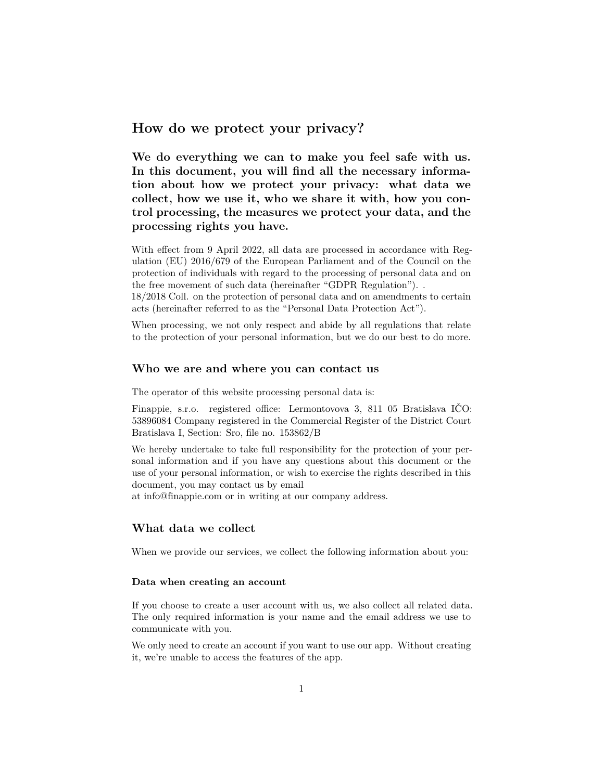# **How do we protect your privacy?**

**We do everything we can to make you feel safe with us. In this document, you will find all the necessary information about how we protect your privacy: what data we collect, how we use it, who we share it with, how you control processing, the measures we protect your data, and the processing rights you have.**

With effect from 9 April 2022, all data are processed in accordance with Regulation (EU) 2016/679 of the European Parliament and of the Council on the protection of individuals with regard to the processing of personal data and on the free movement of such data (hereinafter "GDPR Regulation"). .

18/2018 Coll. on the protection of personal data and on amendments to certain acts (hereinafter referred to as the "Personal Data Protection Act").

When processing, we not only respect and abide by all regulations that relate to the protection of your personal information, but we do our best to do more.

### **Who we are and where you can contact us**

The operator of this website processing personal data is:

Finappie, s.r.o. registered office: Lermontovova 3, 811 05 Bratislava IČO: 53896084 Company registered in the Commercial Register of the District Court Bratislava I, Section: Sro, file no. 153862/B

We hereby undertake to take full responsibility for the protection of your personal information and if you have any questions about this document or the use of your personal information, or wish to exercise the rights described in this document, you may contact us by email

at [info@finappie.com](mailto:info@finappie.com) or in writing at our company address.

### **What data we collect**

When we provide our services, we collect the following information about you:

#### **Data when creating an account**

If you choose to create a user account with us, we also collect all related data. The only required information is your name and the email address we use to communicate with you.

We only need to create an account if you want to use our app. Without creating it, we're unable to access the features of the app.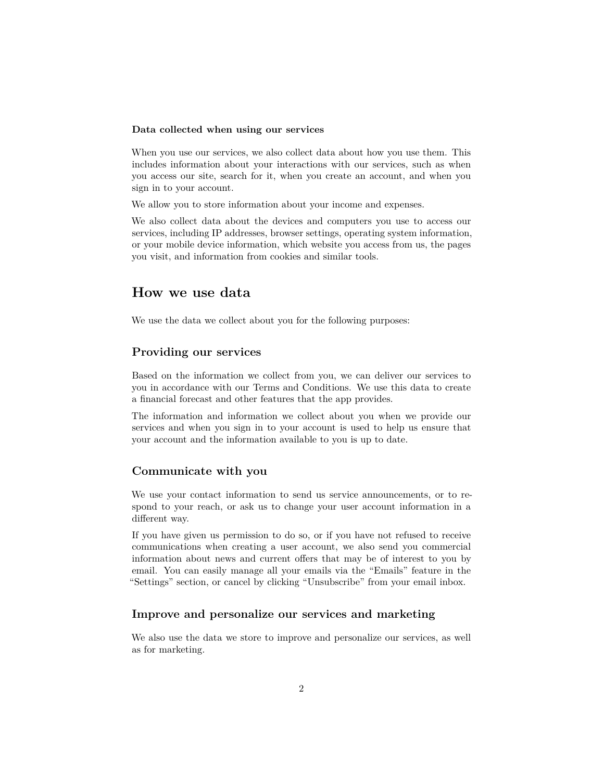#### **Data collected when using our services**

When you use our services, we also collect data about how you use them. This includes information about your interactions with our services, such as when you access our site, search for it, when you create an account, and when you sign in to your account.

We allow you to store information about your income and expenses.

We also collect data about the devices and computers you use to access our services, including IP addresses, browser settings, operating system information, or your mobile device information, which website you access from us, the pages you visit, and information from cookies and similar tools.

# **How we use data**

We use the data we collect about you for the following purposes:

### **Providing our services**

Based on the information we collect from you, we can deliver our services to you in accordance with our Terms and Conditions. We use this data to create a financial forecast and other features that the app provides.

The information and information we collect about you when we provide our services and when you sign in to your account is used to help us ensure that your account and the information available to you is up to date.

### **Communicate with you**

We use your contact information to send us service announcements, or to respond to your reach, or ask us to change your user account information in a different way.

If you have given us permission to do so, or if you have not refused to receive communications when creating a user account, we also send you commercial information about news and current offers that may be of interest to you by email. You can easily manage all your emails via the "Emails" feature in the "Settings" section, or cancel by clicking "Unsubscribe" from your email inbox.

### **Improve and personalize our services and marketing**

We also use the data we store to improve and personalize our services, as well as for marketing.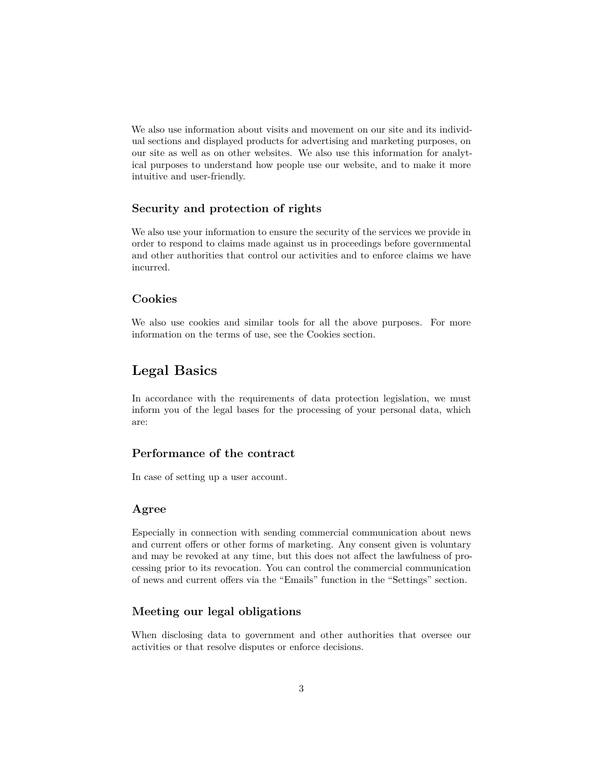We also use information about visits and movement on our site and its individual sections and displayed products for advertising and marketing purposes, on our site as well as on other websites. We also use this information for analytical purposes to understand how people use our website, and to make it more intuitive and user-friendly.

### **Security and protection of rights**

We also use your information to ensure the security of the services we provide in order to respond to claims made against us in proceedings before governmental and other authorities that control our activities and to enforce claims we have incurred.

### **Cookies**

We also use cookies and similar tools for all the above purposes. For more information on the terms of use, see the Cookies section.

# **Legal Basics**

In accordance with the requirements of data protection legislation, we must inform you of the legal bases for the processing of your personal data, which are:

### **Performance of the contract**

In case of setting up a user account.

### **Agree**

Especially in connection with sending commercial communication about news and current offers or other forms of marketing. Any consent given is voluntary and may be revoked at any time, but this does not affect the lawfulness of processing prior to its revocation. You can control the commercial communication of news and current offers via the "Emails" function in the "Settings" section.

### **Meeting our legal obligations**

When disclosing data to government and other authorities that oversee our activities or that resolve disputes or enforce decisions.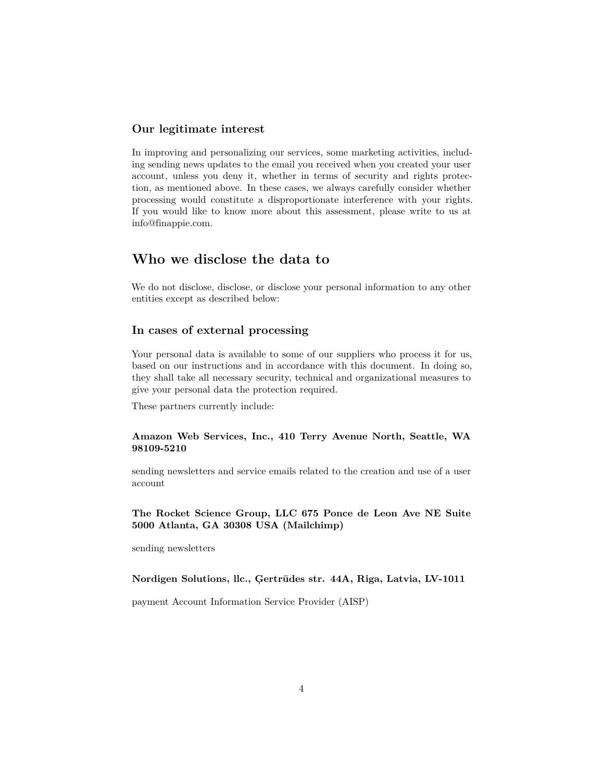### **Our legitimate interest**

In improving and personalizing our services, some marketing activities, including sending news updates to the email you received when you created your user account, unless you deny it, whether in terms of security and rights protection, as mentioned above. In these cases, we always carefully consider whether processing would constitute a disproportionate interference with your rights. If you would like to know more about this assessment, please write to us at [info@finappie.com.](mailto:info@finappie.com)

# **Who we disclose the data to**

We do not disclose, disclose, or disclose your personal information to any other entities except as described below:

## **In cases of external processing**

Your personal data is available to some of our suppliers who process it for us, based on our instructions and in accordance with this document. In doing so, they shall take all necessary security, technical and organizational measures to give your personal data the protection required.

These partners currently include:

### **Amazon Web Services, Inc., 410 Terry Avenue North, Seattle, WA 98109-5210**

sending newsletters and service emails related to the creation and use of a user account

**The Rocket Science Group, LLC 675 Ponce de Leon Ave NE Suite 5000 Atlanta, GA 30308 USA (Mailchimp)**

sending newsletters

**Nordigen Solutions, llc., Ģertrūdes str. 44A, Riga, Latvia, LV-1011**

payment Account Information Service Provider (AISP)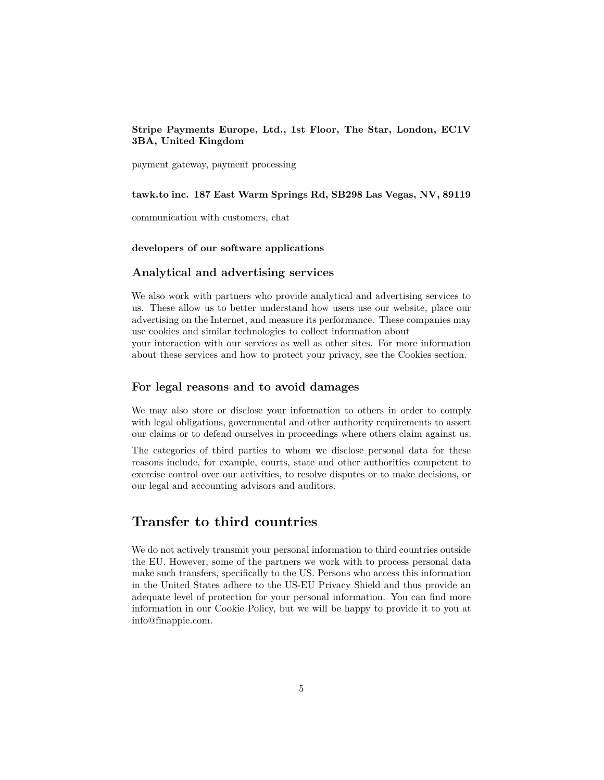### **Stripe Payments Europe, Ltd., 1st Floor, The Star, London, EC1V 3BA, United Kingdom**

payment gateway, payment processing

**tawk.to inc. 187 East Warm Springs Rd, SB298 Las Vegas, NV, 89119**

communication with customers, chat

#### **developers of our software applications**

#### **Analytical and advertising services**

We also work with partners who provide analytical and advertising services to us. These allow us to better understand how users use our website, place our advertising on the Internet, and measure its performance. These companies may use cookies and similar technologies to collect information about

your interaction with our services as well as other sites. For more information about these services and how to protect your privacy, see the Cookies section.

### **For legal reasons and to avoid damages**

We may also store or disclose your information to others in order to comply with legal obligations, governmental and other authority requirements to assert our claims or to defend ourselves in proceedings where others claim against us.

The categories of third parties to whom we disclose personal data for these reasons include, for example, courts, state and other authorities competent to exercise control over our activities, to resolve disputes or to make decisions, or our legal and accounting advisors and auditors.

# **Transfer to third countries**

We do not actively transmit your personal information to third countries outside the EU. However, some of the partners we work with to process personal data make such transfers, specifically to the US. Persons who access this information in the United States adhere to the US-EU Privacy Shield and thus provide an adequate level of protection for your personal information. You can find more information in our Cookie Policy, but we will be happy to provide it to you at [info@finappie.com.](mailto:info@finappie.com)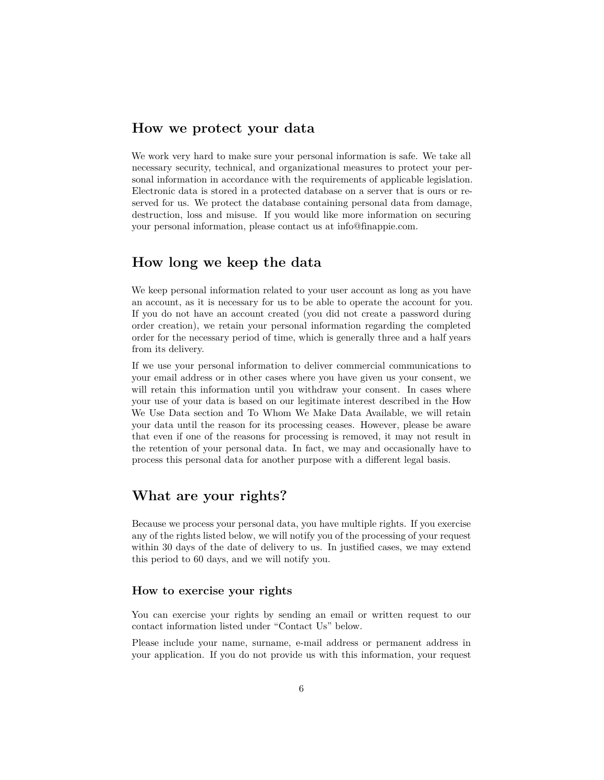## **How we protect your data**

We work very hard to make sure your personal information is safe. We take all necessary security, technical, and organizational measures to protect your personal information in accordance with the requirements of applicable legislation. Electronic data is stored in a protected database on a server that is ours or reserved for us. We protect the database containing personal data from damage, destruction, loss and misuse. If you would like more information on securing your personal information, please contact us at [info@finappie.com](mailto:info@finappie.com).

# **How long we keep the data**

We keep personal information related to your user account as long as you have an account, as it is necessary for us to be able to operate the account for you. If you do not have an account created (you did not create a password during order creation), we retain your personal information regarding the completed order for the necessary period of time, which is generally three and a half years from its delivery.

If we use your personal information to deliver commercial communications to your email address or in other cases where you have given us your consent, we will retain this information until you withdraw your consent. In cases where your use of your data is based on our legitimate interest described in the How We Use Data section and To Whom We Make Data Available, we will retain your data until the reason for its processing ceases. However, please be aware that even if one of the reasons for processing is removed, it may not result in the retention of your personal data. In fact, we may and occasionally have to process this personal data for another purpose with a different legal basis.

# **What are your rights?**

Because we process your personal data, you have multiple rights. If you exercise any of the rights listed below, we will notify you of the processing of your request within 30 days of the date of delivery to us. In justified cases, we may extend this period to 60 days, and we will notify you.

### **How to exercise your rights**

You can exercise your rights by sending an email or written request to our contact information listed under "Contact Us" below.

Please include your name, surname, e-mail address or permanent address in your application. If you do not provide us with this information, your request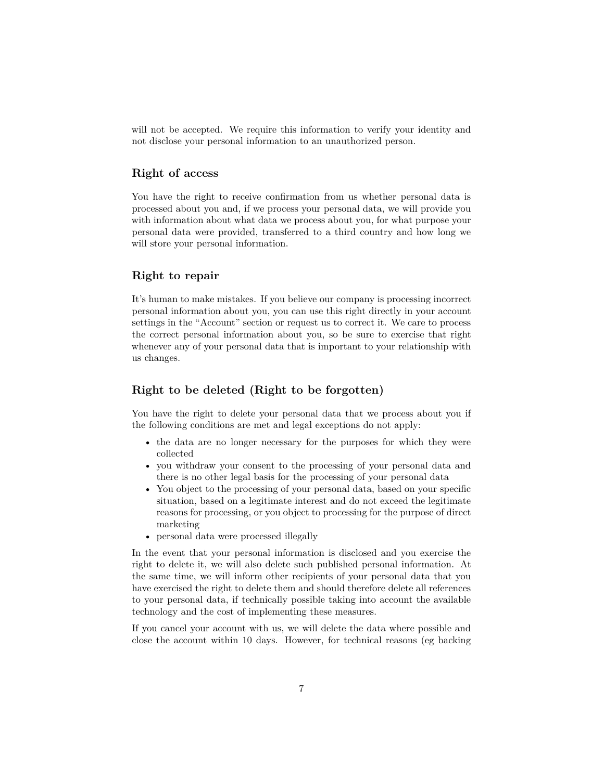will not be accepted. We require this information to verify your identity and not disclose your personal information to an unauthorized person.

## **Right of access**

You have the right to receive confirmation from us whether personal data is processed about you and, if we process your personal data, we will provide you with information about what data we process about you, for what purpose your personal data were provided, transferred to a third country and how long we will store your personal information.

### **Right to repair**

It's human to make mistakes. If you believe our company is processing incorrect personal information about you, you can use this right directly in your account settings in the "Account" section or request us to correct it. We care to process the correct personal information about you, so be sure to exercise that right whenever any of your personal data that is important to your relationship with us changes.

### **Right to be deleted (Right to be forgotten)**

You have the right to delete your personal data that we process about you if the following conditions are met and legal exceptions do not apply:

- the data are no longer necessary for the purposes for which they were collected
- you withdraw your consent to the processing of your personal data and there is no other legal basis for the processing of your personal data
- You object to the processing of your personal data, based on your specific situation, based on a legitimate interest and do not exceed the legitimate reasons for processing, or you object to processing for the purpose of direct marketing
- personal data were processed illegally

In the event that your personal information is disclosed and you exercise the right to delete it, we will also delete such published personal information. At the same time, we will inform other recipients of your personal data that you have exercised the right to delete them and should therefore delete all references to your personal data, if technically possible taking into account the available technology and the cost of implementing these measures.

If you cancel your account with us, we will delete the data where possible and close the account within 10 days. However, for technical reasons (eg backing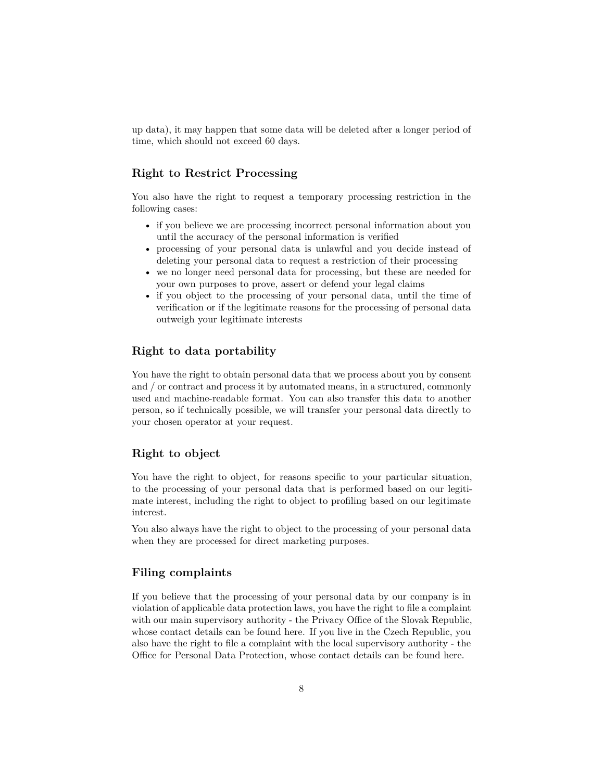up data), it may happen that some data will be deleted after a longer period of time, which should not exceed 60 days.

### **Right to Restrict Processing**

You also have the right to request a temporary processing restriction in the following cases:

- if you believe we are processing incorrect personal information about you until the accuracy of the personal information is verified
- processing of your personal data is unlawful and you decide instead of deleting your personal data to request a restriction of their processing
- we no longer need personal data for processing, but these are needed for your own purposes to prove, assert or defend your legal claims
- if you object to the processing of your personal data, until the time of verification or if the legitimate reasons for the processing of personal data outweigh your legitimate interests

### **Right to data portability**

You have the right to obtain personal data that we process about you by consent and / or contract and process it by automated means, in a structured, commonly used and machine-readable format. You can also transfer this data to another person, so if technically possible, we will transfer your personal data directly to your chosen operator at your request.

### **Right to object**

You have the right to object, for reasons specific to your particular situation, to the processing of your personal data that is performed based on our legitimate interest, including the right to object to profiling based on our legitimate interest.

You also always have the right to object to the processing of your personal data when they are processed for direct marketing purposes.

### **Filing complaints**

If you believe that the processing of your personal data by our company is in violation of applicable data protection laws, you have the right to file a complaint with our main supervisory authority - the Privacy Office of the Slovak Republic, whose contact details can be found [here.](https://dataprotection.gov.sk/uoou/sk/content/kontakt-0) If you live in the Czech Republic, you also have the right to file a complaint with the local supervisory authority - the Office for Personal Data Protection, whose contact details can be found [here](https://www.uoou.cz/vismo/o_utvar.asp?id_u=10).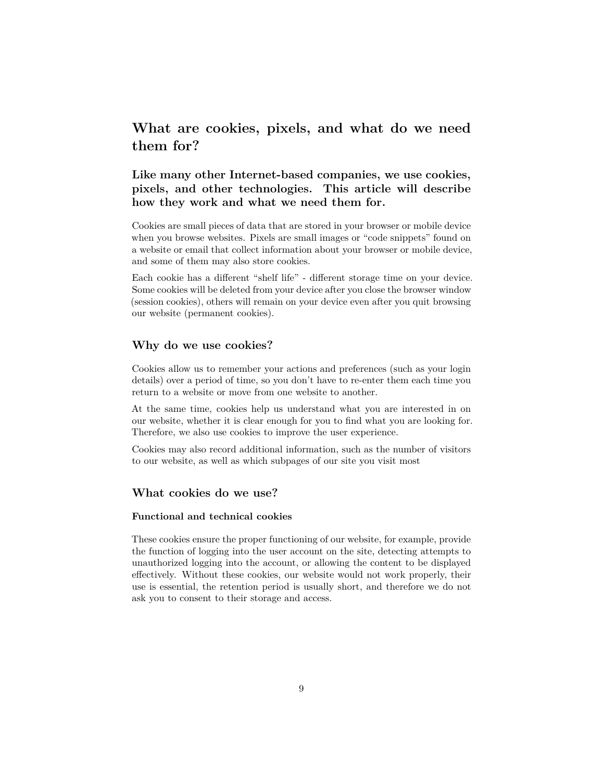# **What are cookies, pixels, and what do we need them for?**

## **Like many other Internet-based companies, we use cookies, pixels, and other technologies. This article will describe how they work and what we need them for.**

Cookies are small pieces of data that are stored in your browser or mobile device when you browse websites. Pixels are small images or "code snippets" found on a website or email that collect information about your browser or mobile device, and some of them may also store cookies.

Each cookie has a different "shelf life" - different storage time on your device. Some cookies will be deleted from your device after you close the browser window (session cookies), others will remain on your device even after you quit browsing our website (permanent cookies).

### **Why do we use cookies?**

Cookies allow us to remember your actions and preferences (such as your login details) over a period of time, so you don't have to re-enter them each time you return to a website or move from one website to another.

At the same time, cookies help us understand what you are interested in on our website, whether it is clear enough for you to find what you are looking for. Therefore, we also use cookies to improve the user experience.

Cookies may also record additional information, such as the number of visitors to our website, as well as which subpages of our site you visit most

### **What cookies do we use?**

### **Functional and technical cookies**

These cookies ensure the proper functioning of our website, for example, provide the function of logging into the user account on the site, detecting attempts to unauthorized logging into the account, or allowing the content to be displayed effectively. Without these cookies, our website would not work properly, their use is essential, the retention period is usually short, and therefore we do not ask you to consent to their storage and access.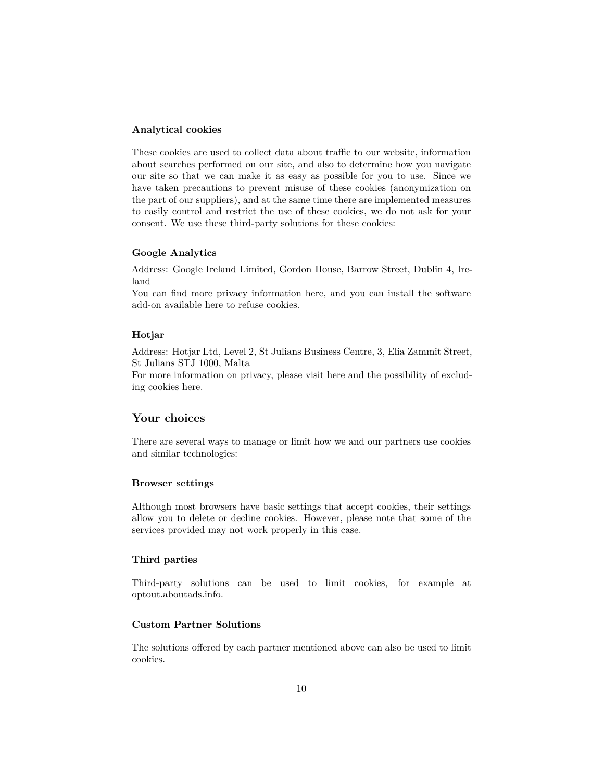#### **Analytical cookies**

These cookies are used to collect data about traffic to our website, information about searches performed on our site, and also to determine how you navigate our site so that we can make it as easy as possible for you to use. Since we have taken precautions to prevent misuse of these cookies (anonymization on the part of our suppliers), and at the same time there are implemented measures to easily control and restrict the use of these cookies, we do not ask for your consent. We use these third-party solutions for these cookies:

#### **Google Analytics**

Address: Google Ireland Limited, Gordon House, Barrow Street, Dublin 4, Ireland

You can find more privacy information [here](https://support.google.com/analytics/topic/2919631?hl=en&ref_topic=1008008), and you can install the software add-on available [here](https://tools.google.com/dlpage/gaoptout) to refuse cookies.

#### **Hotjar**

Address: Hotjar Ltd, Level 2, St Julians Business Centre, 3, Elia Zammit Street, St Julians STJ 1000, Malta

For more information on privacy, please visit [here](https://www.hotjar.com/legal/policies/privacy) and the possibility of excluding cookies [here](https://www.hotjar.com/legal/compliance/opt-out).

### **Your choices**

There are several ways to manage or limit how we and our partners use cookies and similar technologies:

#### **Browser settings**

Although most browsers have basic settings that accept cookies, their settings allow you to delete or decline cookies. However, please note that some of the services provided may not work properly in this case.

#### **Third parties**

Third-party solutions can be used to limit cookies, for example at [optout.aboutads.info.](optout.aboutads.info)

### **Custom Partner Solutions**

The solutions offered by each partner mentioned above can also be used to limit cookies.